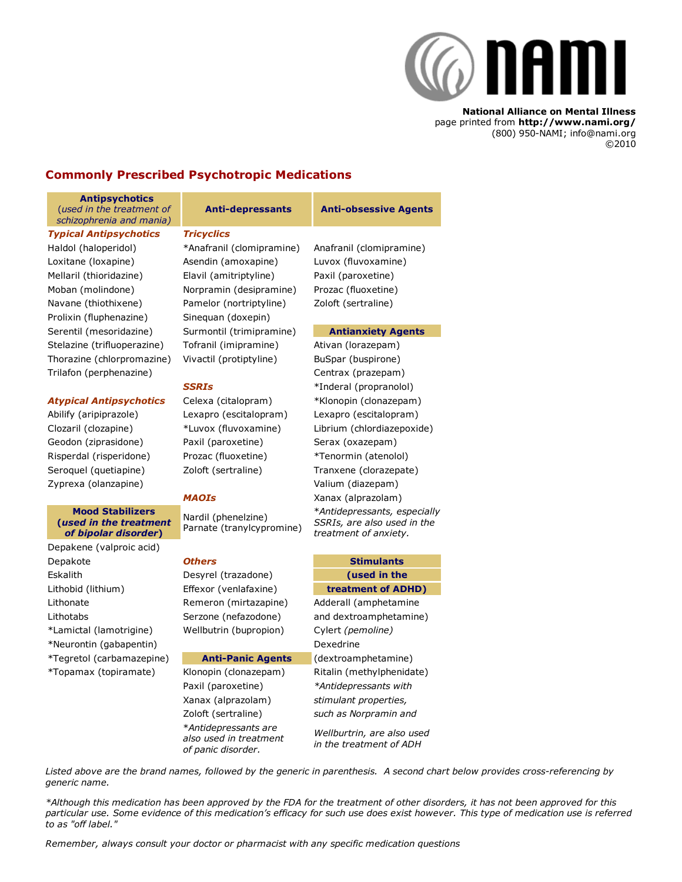# $\omega$  nan

National Alliance on Mental Illness

page printed from http://www.nami.org/ (800) 950-NAMI; info@nami.org ©2010

# Commonly Prescribed Psychotropic Medications

Antipsychotics (used in the treatment of schizophrenia and mania)

# Anti-depressants Anti-obsessive Agents

# Typical Antipsychotics Tricyclics

Haldol (haloperidol) \*Anafranil (clomipramine) Anafranil (clomipramine) Loxitane (loxapine) Asendin (amoxapine) Luvox (fluvoxamine) Mellaril (thioridazine) Elavil (amitriptyline) Paxil (paroxetine) Moban (molindone) Norpramin (desipramine) Prozac (fluoxetine) Navane (thiothixene) Pamelor (nortriptyline) Zoloft (sertraline) Prolixin (fluphenazine) Sinequan (doxepin) Serentil (mesoridazine) Surmontil (trimipramine) **Antianxiety Agents** Stelazine (trifluoperazine) Tofranil (imipramine) Ativan (lorazepam) Thorazine (chlorpromazine) Vivactil (protiptyline) BuSpar (buspirone) Trilafon (perphenazine) and the contrax (prazepam)

# Atypical Antipsychotics Celexa (citalopram) \*Klonopin (clonazepam)

Abilify (aripiprazole) Lexapro (escitalopram) Lexapro (escitalopram) Geodon (ziprasidone) Paxil (paroxetine) Serax (oxazepam) Risperdal (risperidone) Prozac (fluoxetine) \*Tenormin (atenolol) Seroquel (quetiapine) Zoloft (sertraline) Tranxene (clorazepate) Zyprexa (olanzapine) Valium (diazepam)

## Mood Stabilizers (used in the treatment of bipolar disorder)

Depakene (valproic acid) Depakote **Others Others** Stimulants **Stimulants** Eskalith Desyrel (trazadone) **(used in the** Lithobid (lithium) Effexor (venlafaxine) treatment of ADHD) Lithonate Remeron (mirtazapine) Adderall (amphetamine Lithotabs Serzone (nefazodone) and dextroamphetamine) \*Lamictal (lamotrigine) Wellbutrin (bupropion) Cylert (pemoline) \*Neurontin (gabapentin) Dexedrine \*Tegretol (carbamazepine) Anti-Panic Agents (dextroamphetamine) \*Topamax (topiramate) Klonopin (clonazepam) Ritalin (methylphenidate)

Nardil (phenelzine) Parnate (tranylcypromine)

Xanax (alprazolam) stimulant properties, \*Antidepressants are also used in treatment of panic disorder.

SSRIs \*Inderal (propranolol) Clozaril (clozapine) \*Luvox (fluvoxamine) Librium (chlordiazepoxide) MAOIs Xanax (alprazolam) \*Antidepressants, especially SSRIs, are also used in the treatment of anxiety.

Paxil (paroxetine) \*\* Antidepressants with Zoloft (sertraline) such as Norpramin and

Wellburtrin, are also used in the treatment of ADH

Listed above are the brand names, followed by the generic in parenthesis. A second chart below provides cross-referencing by generic name.

\*Although this medication has been approved by the FDA for the treatment of other disorders, it has not been approved for this particular use. Some evidence of this medication's efficacy for such use does exist however. This type of medication use is referred to as "off label."

Remember, always consult your doctor or pharmacist with any specific medication questions